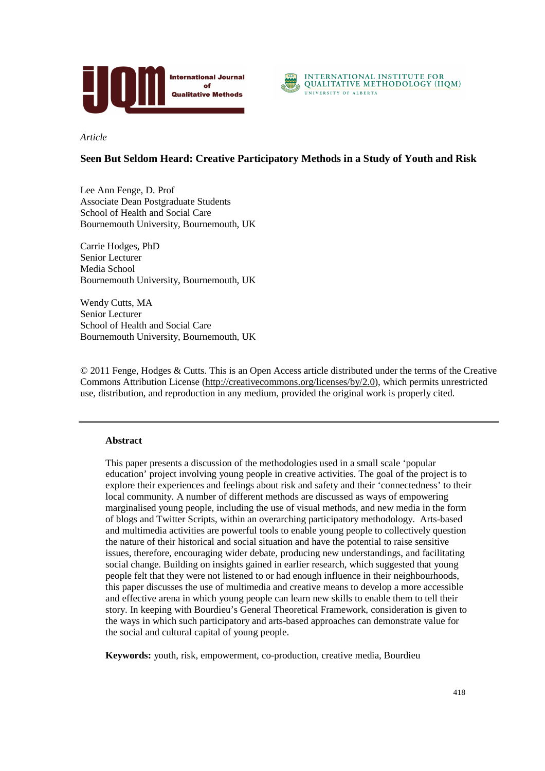



*Article* 

# **Seen But Seldom Heard: Creative Participatory Methods in a Study of Youth and Risk**

Lee Ann Fenge, D. Prof Associate Dean Postgraduate Students School of Health and Social Care Bournemouth University, Bournemouth, UK

Carrie Hodges, PhD Senior Lecturer Media School Bournemouth University, Bournemouth, UK

Wendy Cutts, MA Senior Lecturer School of Health and Social Care Bournemouth University, Bournemouth, UK

© 2011 Fenge, Hodges & Cutts. This is an Open Access article distributed under the terms of the Creative Commons Attribution License (http://creativecommons.org/licenses/by/2.0), which permits unrestricted use, distribution, and reproduction in any medium, provided the original work is properly cited.

## **Abstract**

This paper presents a discussion of the methodologies used in a small scale 'popular education' project involving young people in creative activities. The goal of the project is to explore their experiences and feelings about risk and safety and their 'connectedness' to their local community. A number of different methods are discussed as ways of empowering marginalised young people, including the use of visual methods, and new media in the form of blogs and Twitter Scripts, within an overarching participatory methodology. Arts-based and multimedia activities are powerful tools to enable young people to collectively question the nature of their historical and social situation and have the potential to raise sensitive issues, therefore, encouraging wider debate, producing new understandings, and facilitating social change. Building on insights gained in earlier research, which suggested that young people felt that they were not listened to or had enough influence in their neighbourhoods, this paper discusses the use of multimedia and creative means to develop a more accessible and effective arena in which young people can learn new skills to enable them to tell their story. In keeping with Bourdieu's General Theoretical Framework, consideration is given to the ways in which such participatory and arts-based approaches can demonstrate value for the social and cultural capital of young people.

**Keywords:** youth, risk, empowerment, co-production, creative media, Bourdieu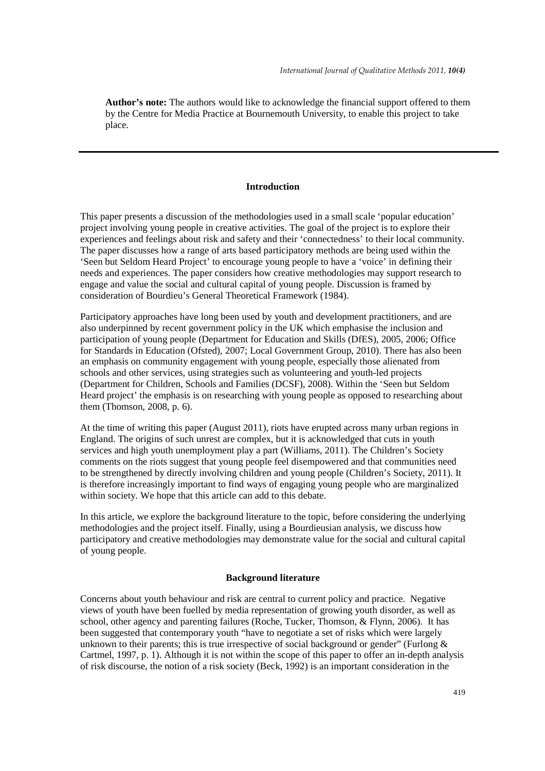**Author's note:** The authors would like to acknowledge the financial support offered to them by the Centre for Media Practice at Bournemouth University, to enable this project to take place.

# **Introduction**

This paper presents a discussion of the methodologies used in a small scale 'popular education' project involving young people in creative activities. The goal of the project is to explore their experiences and feelings about risk and safety and their 'connectedness' to their local community. The paper discusses how a range of arts based participatory methods are being used within the 'Seen but Seldom Heard Project' to encourage young people to have a 'voice' in defining their needs and experiences. The paper considers how creative methodologies may support research to engage and value the social and cultural capital of young people. Discussion is framed by consideration of Bourdieu's General Theoretical Framework (1984).

Participatory approaches have long been used by youth and development practitioners, and are also underpinned by recent government policy in the UK which emphasise the inclusion and participation of young people (Department for Education and Skills (DfES), 2005, 2006; Office for Standards in Education (Ofsted), 2007; Local Government Group, 2010). There has also been an emphasis on community engagement with young people, especially those alienated from schools and other services, using strategies such as volunteering and youth-led projects (Department for Children, Schools and Families (DCSF), 2008). Within the 'Seen but Seldom Heard project' the emphasis is on researching with young people as opposed to researching about them (Thomson, 2008, p. 6).

At the time of writing this paper (August 2011), riots have erupted across many urban regions in England. The origins of such unrest are complex, but it is acknowledged that cuts in youth services and high youth unemployment play a part (Williams, 2011). The Children's Society comments on the riots suggest that young people feel disempowered and that communities need to be strengthened by directly involving children and young people (Children's Society, 2011). It is therefore increasingly important to find ways of engaging young people who are marginalized within society. We hope that this article can add to this debate.

In this article, we explore the background literature to the topic, before considering the underlying methodologies and the project itself. Finally, using a Bourdieusian analysis, we discuss how participatory and creative methodologies may demonstrate value for the social and cultural capital of young people.

### **Background literature**

Concerns about youth behaviour and risk are central to current policy and practice. Negative views of youth have been fuelled by media representation of growing youth disorder, as well as school, other agency and parenting failures (Roche, Tucker, Thomson, & Flynn, 2006). It has been suggested that contemporary youth "have to negotiate a set of risks which were largely unknown to their parents; this is true irrespective of social background or gender" (Furlong  $\&$ Cartmel, 1997, p. 1). Although it is not within the scope of this paper to offer an in-depth analysis of risk discourse, the notion of a risk society (Beck, 1992) is an important consideration in the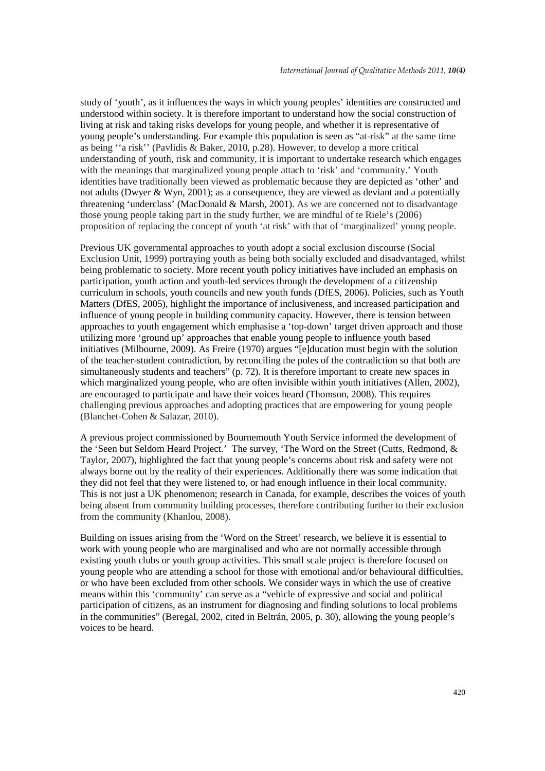study of 'youth', as it influences the ways in which young peoples' identities are constructed and understood within society. It is therefore important to understand how the social construction of living at risk and taking risks develops for young people, and whether it is representative of young people's understanding. For example this population is seen as "at-risk" at the same time as being ''a risk'' (Pavlidis & Baker, 2010, p.28). However, to develop a more critical understanding of youth, risk and community, it is important to undertake research which engages with the meanings that marginalized young people attach to 'risk' and 'community.' Youth identities have traditionally been viewed as problematic because they are depicted as 'other' and not adults (Dwyer & Wyn, 2001); as a consequence, they are viewed as deviant and a potentially threatening 'underclass' (MacDonald & Marsh, 2001). As we are concerned not to disadvantage those young people taking part in the study further, we are mindful of te Riele's (2006) proposition of replacing the concept of youth 'at risk' with that of 'marginalized' young people.

Previous UK governmental approaches to youth adopt a social exclusion discourse (Social Exclusion Unit, 1999) portraying youth as being both socially excluded and disadvantaged, whilst being problematic to society. More recent youth policy initiatives have included an emphasis on participation, youth action and youth-led services through the development of a citizenship curriculum in schools, youth councils and new youth funds (DfES, 2006). Policies, such as Youth Matters (DfES, 2005), highlight the importance of inclusiveness, and increased participation and influence of young people in building community capacity. However, there is tension between approaches to youth engagement which emphasise a 'top-down' target driven approach and those utilizing more 'ground up' approaches that enable young people to influence youth based initiatives (Milbourne, 2009). As Freire (1970) argues "[e]ducation must begin with the solution of the teacher-student contradiction, by reconciling the poles of the contradiction so that both are simultaneously students and teachers" (p. 72). It is therefore important to create new spaces in which marginalized young people, who are often invisible within youth initiatives (Allen, 2002), are encouraged to participate and have their voices heard (Thomson, 2008). This requires challenging previous approaches and adopting practices that are empowering for young people (Blanchet-Cohen & Salazar, 2010).

A previous project commissioned by Bournemouth Youth Service informed the development of the 'Seen but Seldom Heard Project.' The survey, 'The Word on the Street (Cutts, Redmond, & Taylor, 2007), highlighted the fact that young people's concerns about risk and safety were not always borne out by the reality of their experiences. Additionally there was some indication that they did not feel that they were listened to, or had enough influence in their local community. This is not just a UK phenomenon; research in Canada, for example, describes the voices of youth being absent from community building processes, therefore contributing further to their exclusion from the community (Khanlou, 2008).

Building on issues arising from the 'Word on the Street' research, we believe it is essential to work with young people who are marginalised and who are not normally accessible through existing youth clubs or youth group activities. This small scale project is therefore focused on young people who are attending a school for those with emotional and/or behavioural difficulties, or who have been excluded from other schools. We consider ways in which the use of creative means within this 'community' can serve as a "vehicle of expressive and social and political participation of citizens, as an instrument for diagnosing and finding solutions to local problems in the communities" (Beregal, 2002, cited in Beltrán, 2005, p. 30), allowing the young people's voices to be heard.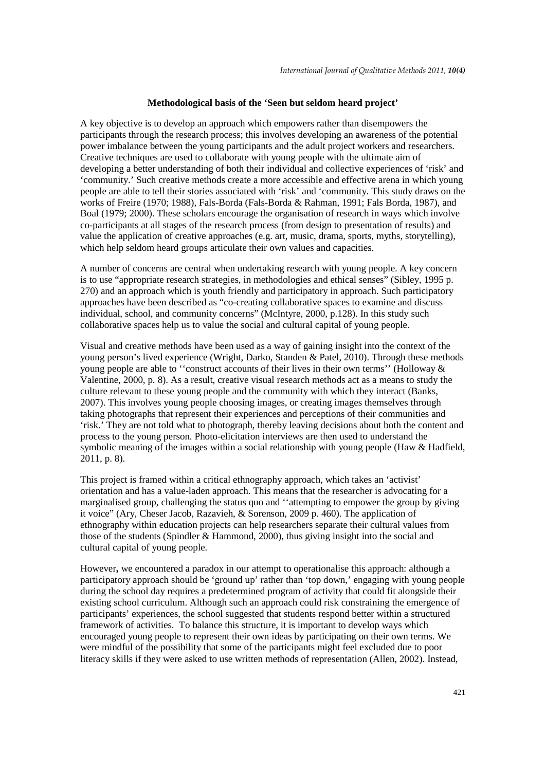### **Methodological basis of the 'Seen but seldom heard project'**

A key objective is to develop an approach which empowers rather than disempowers the participants through the research process; this involves developing an awareness of the potential power imbalance between the young participants and the adult project workers and researchers. Creative techniques are used to collaborate with young people with the ultimate aim of developing a better understanding of both their individual and collective experiences of 'risk' and 'community.' Such creative methods create a more accessible and effective arena in which young people are able to tell their stories associated with 'risk' and 'community. This study draws on the works of Freire (1970; 1988), Fals-Borda (Fals-Borda & Rahman, 1991; Fals Borda, 1987), and Boal (1979; 2000). These scholars encourage the organisation of research in ways which involve co-participants at all stages of the research process (from design to presentation of results) and value the application of creative approaches (e.g. art, music, drama, sports, myths, storytelling), which help seldom heard groups articulate their own values and capacities.

A number of concerns are central when undertaking research with young people. A key concern is to use "appropriate research strategies, in methodologies and ethical senses" (Sibley, 1995 p. 270) and an approach which is youth friendly and participatory in approach. Such participatory approaches have been described as "co-creating collaborative spaces to examine and discuss individual, school, and community concerns" (McIntyre, 2000, p.128). In this study such collaborative spaces help us to value the social and cultural capital of young people.

Visual and creative methods have been used as a way of gaining insight into the context of the young person's lived experience (Wright, Darko, Standen & Patel, 2010). Through these methods young people are able to ''construct accounts of their lives in their own terms'' (Holloway & Valentine, 2000, p. 8). As a result, creative visual research methods act as a means to study the culture relevant to these young people and the community with which they interact (Banks, 2007). This involves young people choosing images, or creating images themselves through taking photographs that represent their experiences and perceptions of their communities and 'risk.' They are not told what to photograph, thereby leaving decisions about both the content and process to the young person. Photo-elicitation interviews are then used to understand the symbolic meaning of the images within a social relationship with young people (Haw & Hadfield, 2011, p. 8).

This project is framed within a critical ethnography approach, which takes an 'activist' orientation and has a value-laden approach. This means that the researcher is advocating for a marginalised group, challenging the status quo and ''attempting to empower the group by giving it voice" (Ary, Cheser Jacob, Razavieh, & Sorenson, 2009 p. 460). The application of ethnography within education projects can help researchers separate their cultural values from those of the students (Spindler & Hammond, 2000), thus giving insight into the social and cultural capital of young people.

However**,** we encountered a paradox in our attempt to operationalise this approach: although a participatory approach should be 'ground up' rather than 'top down,' engaging with young people during the school day requires a predetermined program of activity that could fit alongside their existing school curriculum. Although such an approach could risk constraining the emergence of participants' experiences, the school suggested that students respond better within a structured framework of activities. To balance this structure, it is important to develop ways which encouraged young people to represent their own ideas by participating on their own terms. We were mindful of the possibility that some of the participants might feel excluded due to poor literacy skills if they were asked to use written methods of representation (Allen, 2002). Instead,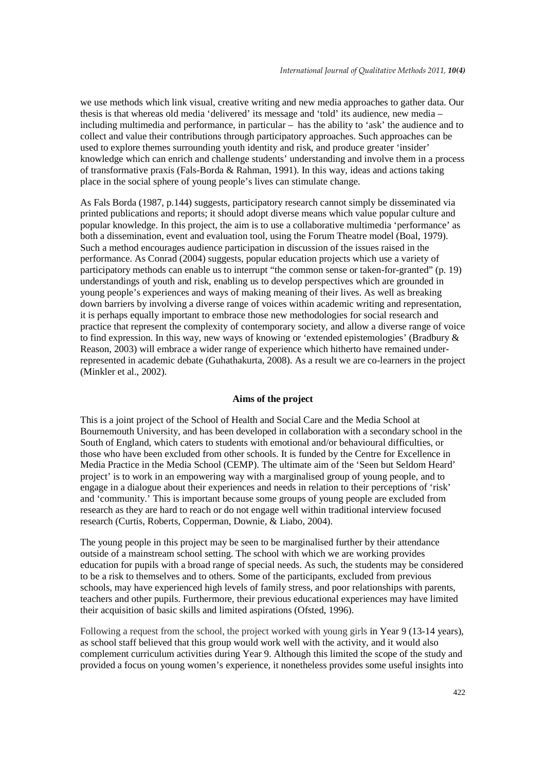we use methods which link visual, creative writing and new media approaches to gather data. Our thesis is that whereas old media 'delivered' its message and 'told' its audience, new media – including multimedia and performance, in particular – has the ability to 'ask' the audience and to collect and value their contributions through participatory approaches. Such approaches can be used to explore themes surrounding youth identity and risk, and produce greater 'insider' knowledge which can enrich and challenge students' understanding and involve them in a process of transformative praxis (Fals-Borda & Rahman, 1991). In this way, ideas and actions taking place in the social sphere of young people's lives can stimulate change.

As Fals Borda (1987, p.144) suggests, participatory research cannot simply be disseminated via printed publications and reports; it should adopt diverse means which value popular culture and popular knowledge. In this project, the aim is to use a collaborative multimedia 'performance' as both a dissemination, event and evaluation tool, using the Forum Theatre model (Boal, 1979). Such a method encourages audience participation in discussion of the issues raised in the performance. As Conrad (2004) suggests, popular education projects which use a variety of participatory methods can enable us to interrupt "the common sense or taken-for-granted" (p. 19) understandings of youth and risk, enabling us to develop perspectives which are grounded in young people's experiences and ways of making meaning of their lives. As well as breaking down barriers by involving a diverse range of voices within academic writing and representation, it is perhaps equally important to embrace those new methodologies for social research and practice that represent the complexity of contemporary society, and allow a diverse range of voice to find expression. In this way, new ways of knowing or 'extended epistemologies' (Bradbury & Reason, 2003) will embrace a wider range of experience which hitherto have remained underrepresented in academic debate (Guhathakurta, 2008). As a result we are co-learners in the project (Minkler et al., 2002).

## **Aims of the project**

This is a joint project of the School of Health and Social Care and the Media School at Bournemouth University, and has been developed in collaboration with a secondary school in the South of England, which caters to students with emotional and/or behavioural difficulties, or those who have been excluded from other schools. It is funded by the Centre for Excellence in Media Practice in the Media School (CEMP). The ultimate aim of the 'Seen but Seldom Heard' project' is to work in an empowering way with a marginalised group of young people, and to engage in a dialogue about their experiences and needs in relation to their perceptions of 'risk' and 'community.' This is important because some groups of young people are excluded from research as they are hard to reach or do not engage well within traditional interview focused research (Curtis, Roberts, Copperman, Downie, & Liabo, 2004).

The young people in this project may be seen to be marginalised further by their attendance outside of a mainstream school setting. The school with which we are working provides education for pupils with a broad range of special needs. As such, the students may be considered to be a risk to themselves and to others. Some of the participants, excluded from previous schools, may have experienced high levels of family stress, and poor relationships with parents, teachers and other pupils. Furthermore, their previous educational experiences may have limited their acquisition of basic skills and limited aspirations (Ofsted, 1996).

Following a request from the school, the project worked with young girls in Year 9 (13-14 years), as school staff believed that this group would work well with the activity, and it would also complement curriculum activities during Year 9. Although this limited the scope of the study and provided a focus on young women's experience, it nonetheless provides some useful insights into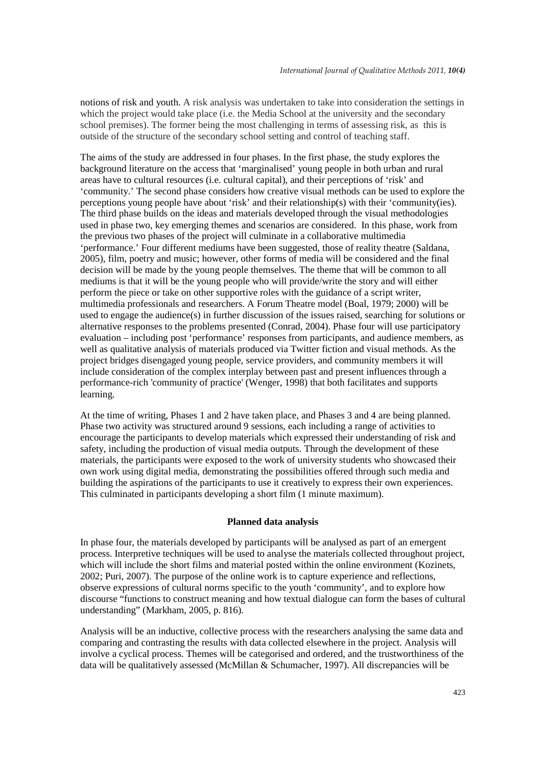notions of risk and youth. A risk analysis was undertaken to take into consideration the settings in which the project would take place (i.e. the Media School at the university and the secondary school premises). The former being the most challenging in terms of assessing risk, as this is outside of the structure of the secondary school setting and control of teaching staff.

The aims of the study are addressed in four phases. In the first phase, the study explores the background literature on the access that 'marginalised' young people in both urban and rural areas have to cultural resources (i.e. cultural capital), and their perceptions of 'risk' and 'community.' The second phase considers how creative visual methods can be used to explore the perceptions young people have about 'risk' and their relationship(s) with their 'community(ies). The third phase builds on the ideas and materials developed through the visual methodologies used in phase two, key emerging themes and scenarios are considered. In this phase, work from the previous two phases of the project will culminate in a collaborative multimedia 'performance.' Four different mediums have been suggested, those of reality theatre (Saldana, 2005), film, poetry and music; however, other forms of media will be considered and the final decision will be made by the young people themselves. The theme that will be common to all mediums is that it will be the young people who will provide/write the story and will either perform the piece or take on other supportive roles with the guidance of a script writer, multimedia professionals and researchers. A Forum Theatre model (Boal, 1979; 2000) will be used to engage the audience(s) in further discussion of the issues raised, searching for solutions or alternative responses to the problems presented (Conrad, 2004). Phase four will use participatory evaluation – including post 'performance' responses from participants, and audience members, as well as qualitative analysis of materials produced via Twitter fiction and visual methods. As the project bridges disengaged young people, service providers, and community members it will include consideration of the complex interplay between past and present influences through a performance-rich 'community of practice' (Wenger, 1998) that both facilitates and supports learning.

At the time of writing, Phases 1 and 2 have taken place, and Phases 3 and 4 are being planned. Phase two activity was structured around 9 sessions, each including a range of activities to encourage the participants to develop materials which expressed their understanding of risk and safety, including the production of visual media outputs. Through the development of these materials, the participants were exposed to the work of university students who showcased their own work using digital media, demonstrating the possibilities offered through such media and building the aspirations of the participants to use it creatively to express their own experiences. This culminated in participants developing a short film (1 minute maximum).

#### **Planned data analysis**

In phase four, the materials developed by participants will be analysed as part of an emergent process. Interpretive techniques will be used to analyse the materials collected throughout project, which will include the short films and material posted within the online environment (Kozinets, 2002; Puri, 2007). The purpose of the online work is to capture experience and reflections, observe expressions of cultural norms specific to the youth 'community', and to explore how discourse "functions to construct meaning and how textual dialogue can form the bases of cultural understanding" (Markham, 2005, p. 816).

Analysis will be an inductive, collective process with the researchers analysing the same data and comparing and contrasting the results with data collected elsewhere in the project. Analysis will involve a cyclical process. Themes will be categorised and ordered, and the trustworthiness of the data will be qualitatively assessed (McMillan & Schumacher, 1997). All discrepancies will be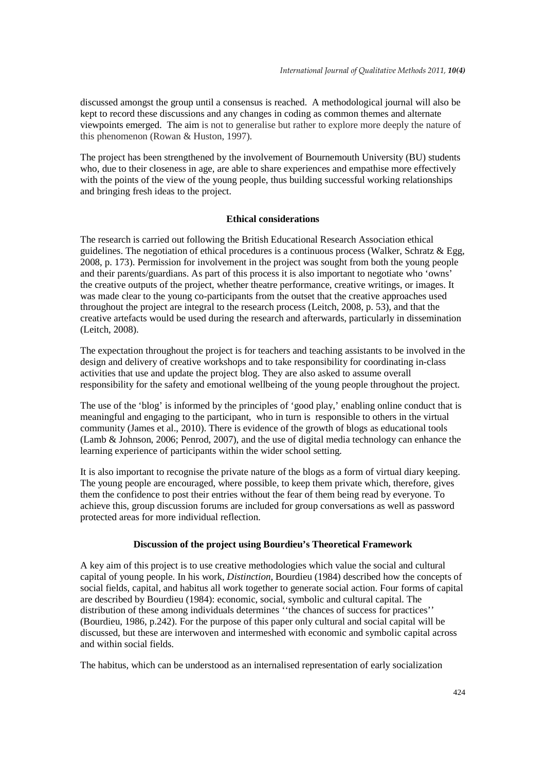discussed amongst the group until a consensus is reached. A methodological journal will also be kept to record these discussions and any changes in coding as common themes and alternate viewpoints emerged. The aim is not to generalise but rather to explore more deeply the nature of this phenomenon (Rowan & Huston, 1997).

The project has been strengthened by the involvement of Bournemouth University (BU) students who, due to their closeness in age, are able to share experiences and empathise more effectively with the points of the view of the young people, thus building successful working relationships and bringing fresh ideas to the project.

## **Ethical considerations**

The research is carried out following the British Educational Research Association ethical guidelines. The negotiation of ethical procedures is a continuous process (Walker, Schratz & Egg, 2008, p. 173). Permission for involvement in the project was sought from both the young people and their parents/guardians. As part of this process it is also important to negotiate who 'owns' the creative outputs of the project, whether theatre performance, creative writings, or images. It was made clear to the young co-participants from the outset that the creative approaches used throughout the project are integral to the research process (Leitch, 2008, p. 53), and that the creative artefacts would be used during the research and afterwards, particularly in dissemination (Leitch, 2008).

The expectation throughout the project is for teachers and teaching assistants to be involved in the design and delivery of creative workshops and to take responsibility for coordinating in-class activities that use and update the project blog. They are also asked to assume overall responsibility for the safety and emotional wellbeing of the young people throughout the project.

The use of the 'blog' is informed by the principles of 'good play,' enabling online conduct that is meaningful and engaging to the participant, who in turn is responsible to others in the virtual community (James et al., 2010). There is evidence of the growth of blogs as educational tools (Lamb & Johnson, 2006; Penrod, 2007), and the use of digital media technology can enhance the learning experience of participants within the wider school setting.

It is also important to recognise the private nature of the blogs as a form of virtual diary keeping. The young people are encouraged, where possible, to keep them private which, therefore, gives them the confidence to post their entries without the fear of them being read by everyone. To achieve this, group discussion forums are included for group conversations as well as password protected areas for more individual reflection.

# **Discussion of the project using Bourdieu's Theoretical Framework**

A key aim of this project is to use creative methodologies which value the social and cultural capital of young people. In his work, *Distinction*, Bourdieu (1984) described how the concepts of social fields, capital, and habitus all work together to generate social action. Four forms of capital are described by Bourdieu (1984): economic, social, symbolic and cultural capital. The distribution of these among individuals determines ''the chances of success for practices'' (Bourdieu, 1986, p.242). For the purpose of this paper only cultural and social capital will be discussed, but these are interwoven and intermeshed with economic and symbolic capital across and within social fields.

The habitus, which can be understood as an internalised representation of early socialization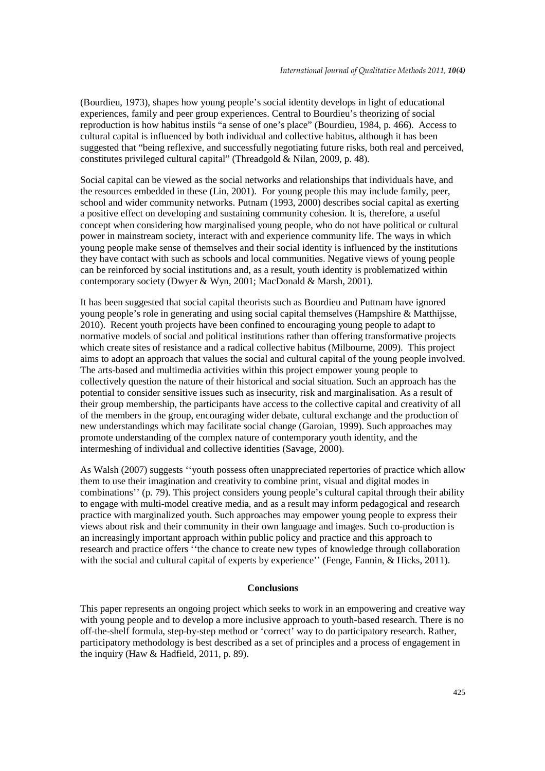(Bourdieu, 1973), shapes how young people's social identity develops in light of educational experiences, family and peer group experiences. Central to Bourdieu's theorizing of social reproduction is how habitus instils "a sense of one's place" (Bourdieu, 1984, p. 466). Access to cultural capital is influenced by both individual and collective habitus, although it has been suggested that "being reflexive, and successfully negotiating future risks, both real and perceived, constitutes privileged cultural capital" (Threadgold & Nilan, 2009, p. 48).

Social capital can be viewed as the social networks and relationships that individuals have, and the resources embedded in these (Lin, 2001). For young people this may include family, peer, school and wider community networks. Putnam (1993, 2000) describes social capital as exerting a positive effect on developing and sustaining community cohesion. It is, therefore, a useful concept when considering how marginalised young people, who do not have political or cultural power in mainstream society, interact with and experience community life. The ways in which young people make sense of themselves and their social identity is influenced by the institutions they have contact with such as schools and local communities. Negative views of young people can be reinforced by social institutions and, as a result, youth identity is problematized within contemporary society (Dwyer & Wyn, 2001; MacDonald & Marsh, 2001).

It has been suggested that social capital theorists such as Bourdieu and Puttnam have ignored young people's role in generating and using social capital themselves (Hampshire & Matthijsse, 2010). Recent youth projects have been confined to encouraging young people to adapt to normative models of social and political institutions rather than offering transformative projects which create sites of resistance and a radical collective habitus (Milbourne, 2009). This project aims to adopt an approach that values the social and cultural capital of the young people involved. The arts-based and multimedia activities within this project empower young people to collectively question the nature of their historical and social situation. Such an approach has the potential to consider sensitive issues such as insecurity, risk and marginalisation. As a result of their group membership, the participants have access to the collective capital and creativity of all of the members in the group, encouraging wider debate, cultural exchange and the production of new understandings which may facilitate social change (Garoian, 1999). Such approaches may promote understanding of the complex nature of contemporary youth identity, and the intermeshing of individual and collective identities (Savage, 2000).

As Walsh (2007) suggests ''youth possess often unappreciated repertories of practice which allow them to use their imagination and creativity to combine print, visual and digital modes in combinations'' (p. 79). This project considers young people's cultural capital through their ability to engage with multi-model creative media, and as a result may inform pedagogical and research practice with marginalized youth. Such approaches may empower young people to express their views about risk and their community in their own language and images. Such co-production is an increasingly important approach within public policy and practice and this approach to research and practice offers ''the chance to create new types of knowledge through collaboration with the social and cultural capital of experts by experience'' (Fenge, Fannin, & Hicks, 2011).

### **Conclusions**

This paper represents an ongoing project which seeks to work in an empowering and creative way with young people and to develop a more inclusive approach to youth-based research. There is no off-the-shelf formula, step-by-step method or 'correct' way to do participatory research. Rather, participatory methodology is best described as a set of principles and a process of engagement in the inquiry (Haw & Hadfield, 2011, p. 89).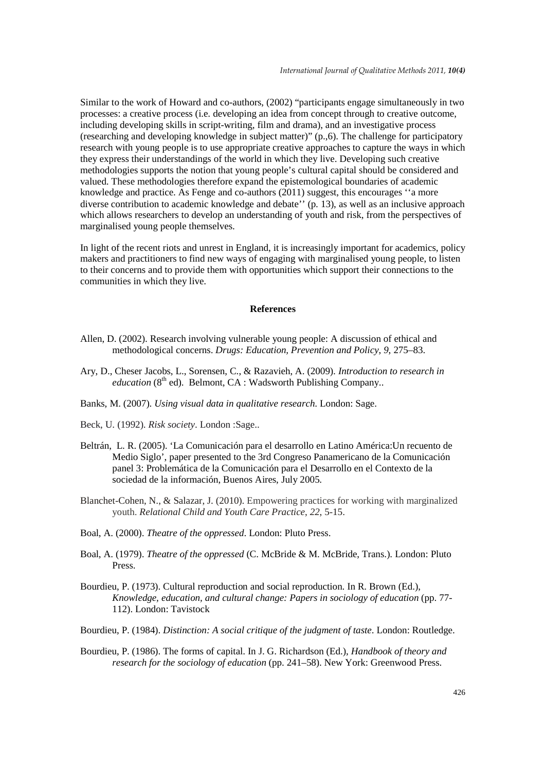Similar to the work of Howard and co-authors, (2002) "participants engage simultaneously in two processes: a creative process (i.e. developing an idea from concept through to creative outcome, including developing skills in script-writing, film and drama), and an investigative process (researching and developing knowledge in subject matter)" (p.,6). The challenge for participatory research with young people is to use appropriate creative approaches to capture the ways in which they express their understandings of the world in which they live. Developing such creative methodologies supports the notion that young people's cultural capital should be considered and valued. These methodologies therefore expand the epistemological boundaries of academic knowledge and practice. As Fenge and co-authors (2011) suggest, this encourages ''a more diverse contribution to academic knowledge and debate'' (p. 13), as well as an inclusive approach which allows researchers to develop an understanding of youth and risk, from the perspectives of marginalised young people themselves.

In light of the recent riots and unrest in England, it is increasingly important for academics, policy makers and practitioners to find new ways of engaging with marginalised young people, to listen to their concerns and to provide them with opportunities which support their connections to the communities in which they live.

#### **References**

- Allen, D. (2002). Research involving vulnerable young people: A discussion of ethical and methodological concerns. *Drugs: Education, Prevention and Policy*, *9*, 275–83.
- Ary, D., Cheser Jacobs, L., Sorensen, C., & Razavieh, A. (2009). *Introduction to research in education* ( $8<sup>th</sup>$  ed). Belmont, CA : Wadsworth Publishing Company..
- Banks, M. (2007). *Using visual data in qualitative research*. London: Sage.
- Beck, U. (1992). *Risk society*. London :Sage..
- Beltrán, L. R. (2005). 'La Comunicación para el desarrollo en Latino América:Un recuento de Medio Siglo', paper presented to the 3rd Congreso Panamericano de la Comunicación panel 3: Problemática de la Comunicación para el Desarrollo en el Contexto de la sociedad de la información, Buenos Aires, July 2005.
- Blanchet-Cohen, N., & Salazar, J. (2010). Empowering practices for working with marginalized youth. *Relational Child and Youth Care Practice*, *22*, 5-15.
- Boal, A. (2000). *Theatre of the oppressed*. London: Pluto Press.
- Boal, A. (1979). *Theatre of the oppressed* (C. McBride & M. McBride, Trans.). London: Pluto Press.
- Bourdieu, P. (1973). Cultural reproduction and social reproduction. In R. Brown (Ed.), *Knowledge, education, and cultural change: Papers in sociology of education* (pp. 77- 112). London: Tavistock
- Bourdieu, P. (1984). *Distinction: A social critique of the judgment of taste*. London: Routledge.
- Bourdieu, P. (1986). The forms of capital. In J. G. Richardson (Ed.), *Handbook of theory and research for the sociology of education* (pp. 241–58). New York: Greenwood Press.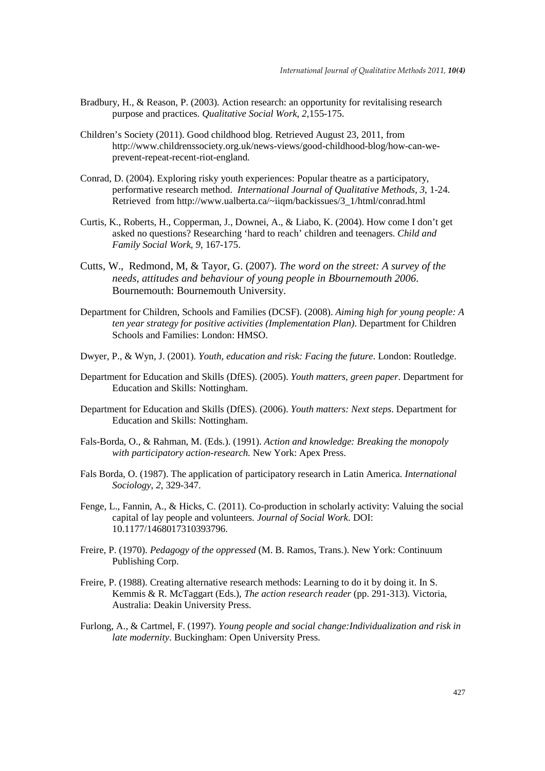- Bradbury, H., & Reason, P. (2003). Action research: an opportunity for revitalising research purpose and practices. *Qualitative Social Work*, *2*,155-175.
- Children's Society (2011). Good childhood blog. Retrieved August 23, 2011, from http://www.childrenssociety.org.uk/news-views/good-childhood-blog/how-can-weprevent-repeat-recent-riot-england.
- Conrad, D. (2004). Exploring risky youth experiences: Popular theatre as a participatory, performative research method. *International Journal of Qualitative Methods, 3*, 1-24. Retrieved from http://www.ualberta.ca/~iiqm/backissues/3\_1/html/conrad.html
- Curtis, K., Roberts, H., Copperman, J., Downei, A., & Liabo, K. (2004). How come I don't get asked no questions? Researching 'hard to reach' children and teenagers. *Child and Family Social Work*, *9*, 167-175.
- Cutts, W., Redmond, M, & Tayor, G. (2007). *The word on the street: A survey of the needs, attitudes and behaviour of young people in Bbournemouth 2006*. Bournemouth: Bournemouth University.
- Department for Children, Schools and Families (DCSF). (2008). *Aiming high for young people: A ten year strategy for positive activities (Implementation Plan)*. Department for Children Schools and Families: London: HMSO.
- Dwyer, P., & Wyn, J. (2001). *Youth, education and risk: Facing the future*. London: Routledge.
- Department for Education and Skills (DfES). (2005). *Youth matters, green paper*. Department for Education and Skills: Nottingham.
- Department for Education and Skills (DfES). (2006). *Youth matters: Next steps*. Department for Education and Skills: Nottingham.
- Fals-Borda, O., & Rahman, M. (Eds.). (1991). *Action and knowledge: Breaking the monopoly with participatory action-research.* New York: Apex Press.
- Fals Borda, O. (1987). The application of participatory research in Latin America. *International Sociology*, *2*, 329-347.
- Fenge, L., Fannin, A., & Hicks, C. (2011). Co-production in scholarly activity: Valuing the social capital of lay people and volunteers. *Journal of Social Work*. DOI: 10.1177/1468017310393796.
- Freire, P. (1970). *Pedagogy of the oppressed* (M. B. Ramos, Trans.). New York: Continuum Publishing Corp.
- Freire, P. (1988). Creating alternative research methods: Learning to do it by doing it. In S. Kemmis & R. McTaggart (Eds.), *The action research reader* (pp. 291-313). Victoria, Australia: Deakin University Press.
- Furlong, A., & Cartmel, F. (1997). *Young people and social change:Individualization and risk in late modernity*. Buckingham: Open University Press.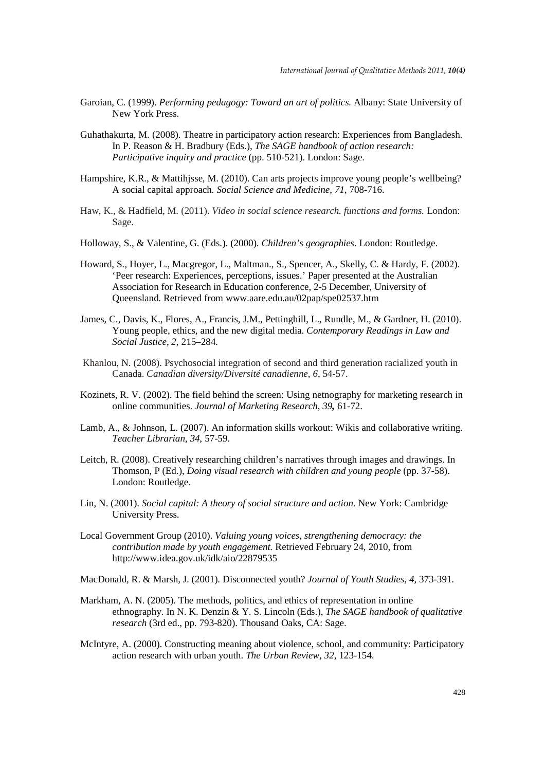- Garoian, C. (1999). *Performing pedagogy: Toward an art of politics.* Albany: State University of New York Press.
- Guhathakurta, M. (2008). Theatre in participatory action research: Experiences from Bangladesh. In P. Reason & H. Bradbury (Eds.), *The SAGE handbook of action research: Participative inquiry and practice* (pp. 510-521). London: Sage.
- Hampshire, K.R., & Mattihjsse, M. (2010). Can arts projects improve young people's wellbeing? A social capital approach. *Social Science and Medicine*, *71*, 708-716.
- Haw, K., & Hadfield, M. (2011). *Video in social science research. functions and forms.* London: Sage.
- Holloway, S., & Valentine, G. (Eds.). (2000). *Children's geographies*. London: Routledge.
- Howard, S., Hoyer, L., Macgregor, L., Maltman., S., Spencer, A., Skelly, C. & Hardy, F. (2002). 'Peer research: Experiences, perceptions, issues.' Paper presented at the Australian Association for Research in Education conference, 2-5 December, University of Queensland. Retrieved from www.aare.edu.au/02pap/spe02537.htm
- James, C., Davis, K., Flores, A., Francis, J.M., Pettinghill, L., Rundle, M., & Gardner, H. (2010). Young people, ethics, and the new digital media. *Contemporary Readings in Law and Social Justice*, *2*, 215–284.
- Khanlou, N. (2008). Psychosocial integration of second and third generation racialized youth in Canada. *Canadian diversity/Diversité canadienne*, *6*, 54-57.
- Kozinets, R. V. (2002). The field behind the screen: Using netnography for marketing research in online communities. *Journal of Marketing Research*, *39,* 61-72.
- Lamb, A., & Johnson, L. (2007). An information skills workout: Wikis and collaborative writing. *Teacher Librarian*, *34*, 57-59.
- Leitch, R. (2008). Creatively researching children's narratives through images and drawings. In Thomson, P (Ed.), *Doing visual research with children and young people* (pp. 37-58). London: Routledge.
- Lin, N. (2001). *Social capital: A theory of social structure and action*. New York: Cambridge University Press.
- Local Government Group (2010). *Valuing young voices, strengthening democracy: the contribution made by youth engagement.* Retrieved February 24, 2010, from http://www.idea.gov.uk/idk/aio/22879535

MacDonald, R. & Marsh, J. (2001). Disconnected youth? *Journal of Youth Studies*, *4*, 373-391.

- Markham, A. N. (2005). The methods, politics, and ethics of representation in online ethnography. In N. K. Denzin & Y. S. Lincoln (Eds.), *The SAGE handbook of qualitative research* (3rd ed., pp. 793-820). Thousand Oaks, CA: Sage.
- McIntyre, A. (2000). Constructing meaning about violence, school, and community: Participatory action research with urban youth. *The Urban Review*, *32*, 123-154.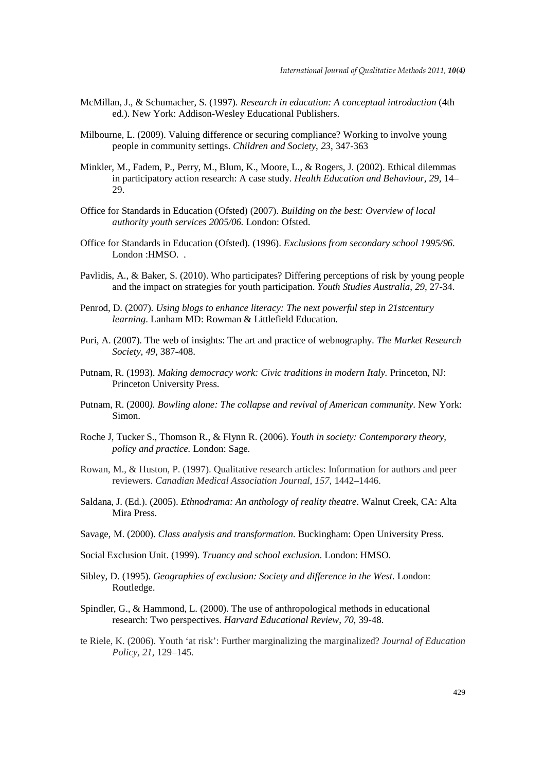- McMillan, J., & Schumacher, S. (1997). *Research in education: A conceptual introduction* (4th ed.). New York: Addison-Wesley Educational Publishers.
- Milbourne, L. (2009). Valuing difference or securing compliance? Working to involve young people in community settings. *Children and Society*, *23*, 347-363
- Minkler, M., Fadem, P., Perry, M., Blum, K., Moore, L., & Rogers, J. (2002). Ethical dilemmas in participatory action research: A case study. *Health Education and Behaviour*, *29*, 14– 29.
- Office for Standards in Education (Ofsted) (2007). *Building on the best: Overview of local authority youth services 2005/06.* London: Ofsted.
- Office for Standards in Education (Ofsted). (1996). *Exclusions from secondary school 1995/96*. London :HMSO. .
- Pavlidis, A., & Baker, S. (2010). Who participates? Differing perceptions of risk by young people and the impact on strategies for youth participation. *Youth Studies Australia*, *29*, 27-34.
- Penrod, D. (2007). *Using blogs to enhance literacy: The next powerful step in 21stcentury learning*. Lanham MD: Rowman & Littlefield Education.
- Puri, A. (2007). The web of insights: The art and practice of webnography. *The Market Research Society*, *49*, 387-408.
- Putnam, R. (1993). *Making democracy work: Civic traditions in modern Italy.* Princeton, NJ: Princeton University Press.
- Putnam, R. (2000*). Bowling alone: The collapse and revival of American community*. New York: Simon.
- Roche J, Tucker S., Thomson R., & Flynn R. (2006). *Youth in society: Contemporary theory, policy and practice.* London: Sage.
- Rowan, M., & Huston, P. (1997). Qualitative research articles: Information for authors and peer reviewers. *Canadian Medical Association Journal*, *157*, 1442–1446.
- Saldana, J. (Ed.). (2005). *Ethnodrama: An anthology of reality theatre*. Walnut Creek, CA: Alta Mira Press.
- Savage, M. (2000). *Class analysis and transformation*. Buckingham: Open University Press.
- Social Exclusion Unit. (1999). *Truancy and school exclusion*. London: HMSO.
- Sibley, D. (1995). *Geographies of exclusion: Society and difference in the West*. London: Routledge.
- Spindler, G., & Hammond, L. (2000). The use of anthropological methods in educational research: Two perspectives. *Harvard Educational Review*, *70*, 39-48.
- te Riele, K. (2006). Youth 'at risk': Further marginalizing the marginalized? *Journal of Education Policy*, *21*, 129–145.